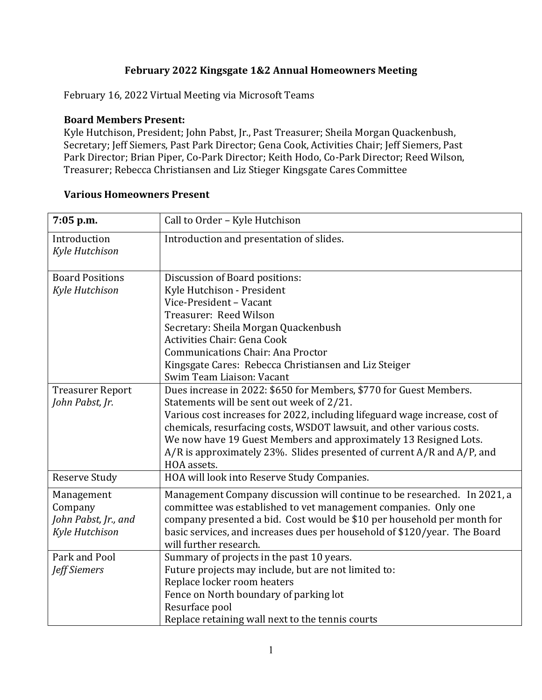## **February 2022 Kingsgate 1&2 Annual Homeowners Meeting**

February 16, 2022 Virtual Meeting via Microsoft Teams

## **Board Members Present:**

Kyle Hutchison, President; John Pabst, Jr., Past Treasurer; Sheila Morgan Quackenbush, Secretary; Jeff Siemers, Past Park Director; Gena Cook, Activities Chair; Jeff Siemers, Past Park Director; Brian Piper, Co-Park Director; Keith Hodo, Co-Park Director; Reed Wilson, Treasurer; Rebecca Christiansen and Liz Stieger Kingsgate Cares Committee

| <b>Various Homeowners Present</b> |
|-----------------------------------|
|-----------------------------------|

| 7:05 p.m.                      | Call to Order - Kyle Hutchison                                              |
|--------------------------------|-----------------------------------------------------------------------------|
| Introduction<br>Kyle Hutchison | Introduction and presentation of slides.                                    |
| <b>Board Positions</b>         | Discussion of Board positions:                                              |
| Kyle Hutchison                 | Kyle Hutchison - President                                                  |
|                                | Vice-President - Vacant                                                     |
|                                | Treasurer: Reed Wilson                                                      |
|                                | Secretary: Sheila Morgan Quackenbush                                        |
|                                | Activities Chair: Gena Cook                                                 |
|                                | <b>Communications Chair: Ana Proctor</b>                                    |
|                                | Kingsgate Cares: Rebecca Christiansen and Liz Steiger                       |
|                                | Swim Team Liaison: Vacant                                                   |
| <b>Treasurer Report</b>        | Dues increase in 2022: \$650 for Members, \$770 for Guest Members.          |
| John Pabst, Jr.                | Statements will be sent out week of 2/21.                                   |
|                                | Various cost increases for 2022, including lifeguard wage increase, cost of |
|                                | chemicals, resurfacing costs, WSDOT lawsuit, and other various costs.       |
|                                | We now have 19 Guest Members and approximately 13 Resigned Lots.            |
|                                | A/R is approximately 23%. Slides presented of current A/R and A/P, and      |
|                                | HOA assets.                                                                 |
| <b>Reserve Study</b>           | HOA will look into Reserve Study Companies.                                 |
| Management                     | Management Company discussion will continue to be researched. In 2021, a    |
| Company                        | committee was established to vet management companies. Only one             |
| John Pabst, Jr., and           | company presented a bid. Cost would be \$10 per household per month for     |
| Kyle Hutchison                 | basic services, and increases dues per household of \$120/year. The Board   |
|                                | will further research.                                                      |
| Park and Pool                  | Summary of projects in the past 10 years.                                   |
| <b>Jeff Siemers</b>            | Future projects may include, but are not limited to:                        |
|                                | Replace locker room heaters                                                 |
|                                | Fence on North boundary of parking lot                                      |
|                                | Resurface pool                                                              |
|                                | Replace retaining wall next to the tennis courts                            |